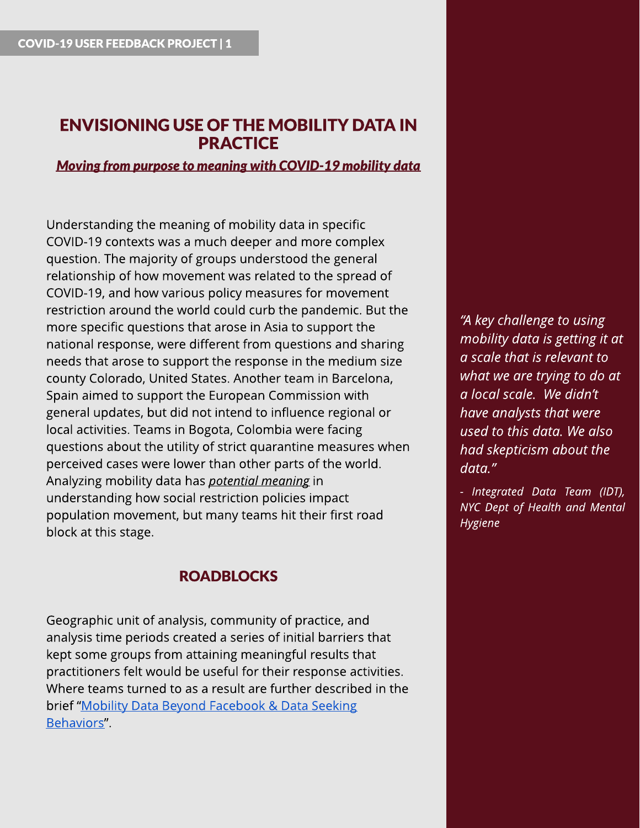# ENVISIONING USE OF THE MOBILITY DATA IN PRACTICE

**Moving from purpose to meaning with COVID-19 mobility data** 

Understanding the meaning of mobility data in specific COVID-19 contexts was a much deeper and more complex question. The majority of groups understood the general relationship of how movement was related to the spread of COVID-19, and how various policy measures for movement restriction around the world could curb the pandemic. But the more specific questions that arose in Asia to support the national response, were different from questions and sharing needs that arose to support the response in the medium size county Colorado, United States. Another team in Barcelona, Spain aimed to support the European Commission with general updates, but did not intend to influence regional or local activities. Teams in Bogota, Colombia were facing questions about the utility of strict quarantine measures when perceived cases were lower than other parts of the world. Analyzing mobility data has **potential meaning**in understanding how social restriction policies impact population movement, but many teams hit their first road block at this stage.

### **ROADBLOCKS**

Geographic unit of analysis, community of practice, and analysis time periods created a series of initial barriers that kept some groups from attaining meaningful results that practitioners felt would be useful for their response activities. Where teams turned to as a result are further described in the brief "Mobility [Data](https://pub.lucidpress.com/CMDN_UserFdbck_Brief6/) [Beyond](https://pub.lucidpress.com/CMDN_UserFdbck_Brief6/) [Facebook](https://pub.lucidpress.com/CMDN_UserFdbck_Brief6/) [&](https://pub.lucidpress.com/CMDN_UserFdbck_Brief6/) Data [Seeking](https://pub.lucidpress.com/CMDN_UserFdbck_Brief6/) Behaviors".

**?Akey challenge to using mobility data isgetting it at a scale that isrelevant to what we are trying to do at a local scale. We didn?t have** analysts that were **used to thisdata. We also had skepticism about the data.?**

**- Integrated Data Team (IDT), NYC Dept of Health and Mental Hygiene**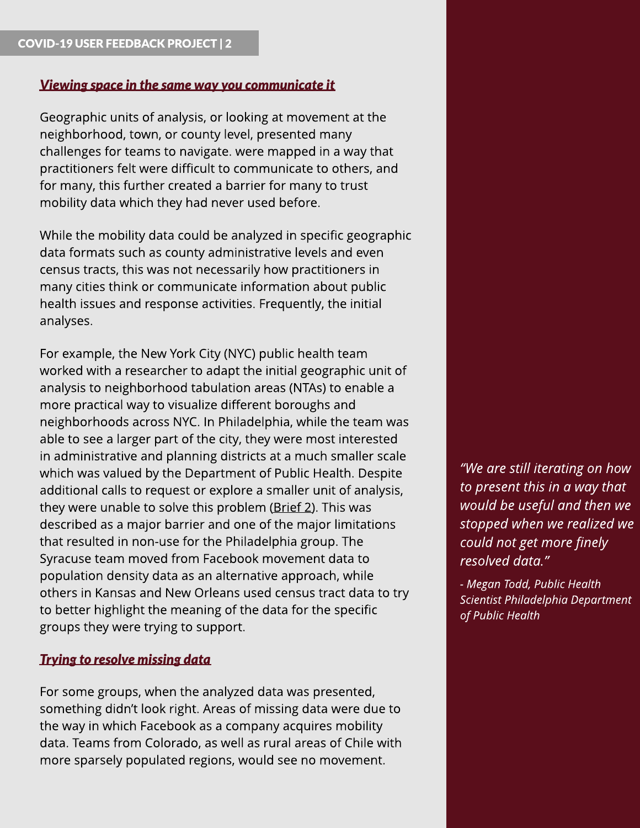### **Viewing space in the same way you communicate it**

Geographic units of analysis, or looking at movement at the neighborhood, town, or county level, presented many challenges for teams to navigate. were mapped in a way that practitioners felt were difficult to communicate to others, and for many, this further created a barrier for many to trust mobility data which they had never used before.

While the mobility data could be analyzed in specific geographic data formats such as county administrative levels and even census tracts, this was not necessarily how practitioners in many cities think or communicate information about public health issues and response activities. Frequently, the initial analyses.

For example, the New York City (NYC) public health team worked with a researcher to adapt the initial geographic unit of analysis to neighborhood tabulation areas (NTAs) to enable a more practical way to visualize different boroughs and neighborhoods across NYC. In Philadelphia, while the team was able to see a larger part of the city, they were most interested in administrative and planning districts at a much smaller scale which was valued by the Department of Public Health. Despite additional calls to request or explore a smaller unit of analysis, they were unable to solve this problem ([Brief](https://pub.lucidpress.com/CMDN_UserFdbck_Brief2/) [2](https://pub.lucidpress.com/CMDN_UserFdbck_Brief2/)). This was described as a major barrier and one of the major limitations that resulted in non-use for the Philadelphia group. The Syracuse team moved from Facebook movement data to population density data as an alternative approach, while others in Kansas and New Orleans used census tract data to try to better highlight the meaning of the data for the specific groups they were trying to support.

## **Trying to resolve missing data**

For some groups, when the analyzed data was presented, something didn't look right. Areas of missing data were due to the way in which Facebook as a company acquires mobility data. Teams from Colorado, as well as rural areas of Chile with more sparsely populated regions, would see no movement.

**?We are still iteratingon how to present thisin a way that would be useful and then we stopped when we realized we could not get more finely resolved data.?**

**- Megan Todd, Public Health Scientist Philadelphia Department of Public Health**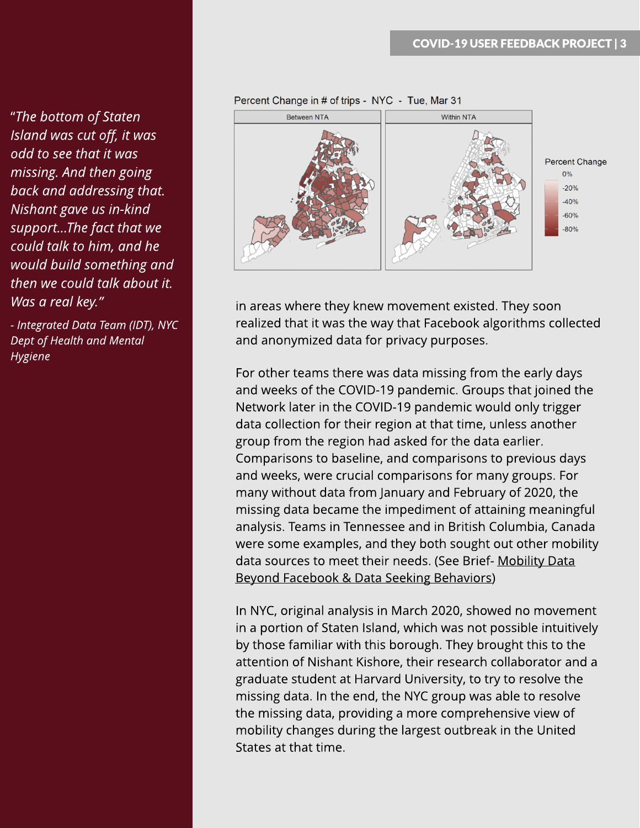?**The bottom of Staten Island wascut off, it was odd to see that it was missing. And then going back** and addressing that. **Nishant gave usin-kind support...The fact that we could talk to him, and he would build somethingand then we could talk about it. Wasa real key.?**

**- Integrated Data Team (IDT), NYC Dept of Health and Mental Hygiene**



in areas where they knew movement existed. They soon realized that it was the way that Facebook algorithms collected and anonymized data for privacy purposes.

For other teams there was data missing from the early days and weeks of the COVID-19 pandemic. Groups that joined the Network later in the COVID-19 pandemic would only trigger data collection for their region at that time, unless another group from the region had asked for the data earlier. Comparisons to baseline, and comparisons to previous days and weeks, were crucial comparisons for many groups. For many without data from January and February of 2020, the missing data became the impediment of attaining meaningful analysis. Teams in Tennessee and in British Columbia, Canada were some examples, and they both sought out other mobility data sources to meet their needs. (See Brief- [Mobility](https://pub.lucidpress.com/CMDN_UserFdbck_Brief6/) [Data](https://pub.lucidpress.com/CMDN_UserFdbck_Brief6/) [Beyond](https://pub.lucidpress.com/CMDN_UserFdbck_Brief6/) [Facebook](https://pub.lucidpress.com/CMDN_UserFdbck_Brief6/) [&](https://pub.lucidpress.com/CMDN_UserFdbck_Brief6/) [Data](https://pub.lucidpress.com/CMDN_UserFdbck_Brief6/) [Seeking](https://pub.lucidpress.com/CMDN_UserFdbck_Brief6/) [Behaviors\)](https://pub.lucidpress.com/CMDN_UserFdbck_Brief6/)

In NYC, original analysis in March 2020, showed no movement in a portion of Staten Island, which was not possible intuitively by those familiar with this borough. They brought this to the attention of Nishant Kishore, their research collaborator and a graduate student at Harvard University, to try to resolve the missing data. In the end, the NYC group was able to resolve the missing data, providing a more comprehensive view of mobility changes during the largest outbreak in the United States at that time.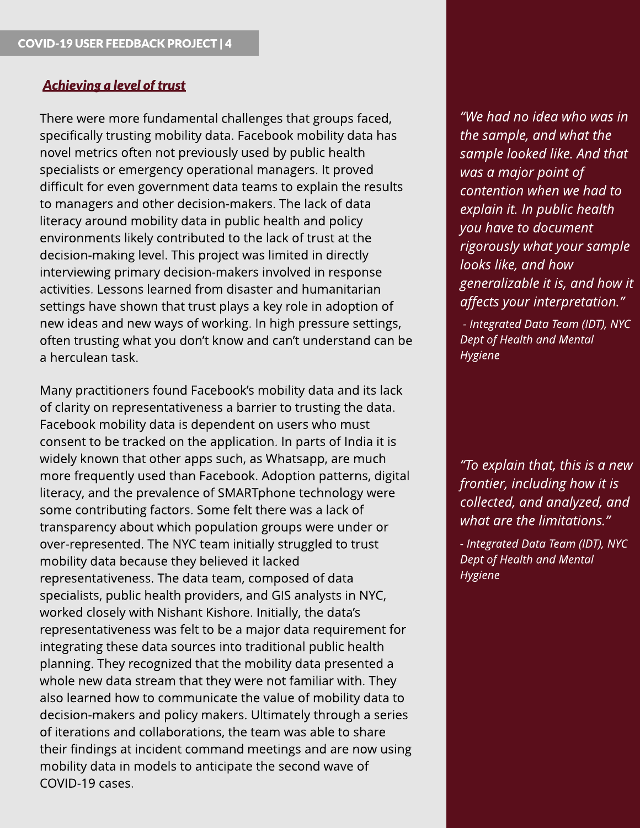#### **Achievinga level of trust**

There were more fundamental challenges that groups faced, specifically trusting mobility data. Facebook mobility data has novel metrics often not previously used by public health specialists or emergency operational managers. It proved difficult for even government data teams to explain the results to managers and other decision-makers. The lack of data literacy around mobility data in public health and policy environments likely contributed to the lack of trust at the decision-making level. This project was limited in directly interviewing primary decision-makers involved in response activities. Lessons learned from disaster and humanitarian settings have shown that trust plays a key role in adoption of new ideas and new ways of working. In high pressure settings, often trusting what you don't know and can't understand can be a herculean task.

Many practitioners found Facebook?s mobility data and its lack of clarity on representativeness a barrier to trusting the data. Facebook mobility data is dependent on users who must consent to be tracked on the application. In parts of India it is widely known that other apps such, as Whatsapp, are much more frequently used than Facebook. Adoption patterns, digital literacy, and the prevalence of SMARTphone technology were some contributing factors. Some felt there was a lack of transparency about which population groups were under or over-represented. The NYC team initially struggled to trust mobility data because they believed it lacked representativeness. The data team, composed of data specialists, public health providers, and GIS analysts in NYC, worked closely with Nishant Kishore. Initially, the data's representativeness was felt to be a major data requirement for integrating these data sources into traditional public health planning. They recognized that the mobility data presented a whole new data stream that they were not familiar with. They also learned how to communicate the value of mobility data to decision-makers and policy makers. Ultimately through a series of iterations and collaborations, the team was able to share their findings at incident command meetings and are now using mobility data in models to anticipate the second wave of COVID-19 cases.

**?We had no idea who wasin the sample, and what the sample looked like. And that wasa major point of contention when we had to explain** it. In public health **you have to document rigorously what your sample lookslike, and how generalizable it is, and how it affectsyour interpretation.?**

**- Integrated Data Team (IDT), NYC Dept of Health and Mental Hygiene**

**?To explain that, thisisa new frontier, including how it is collected, and analyzed, and what are the limitations.?**

**- Integrated Data Team (IDT), NYC Dept of Health and Mental Hygiene**